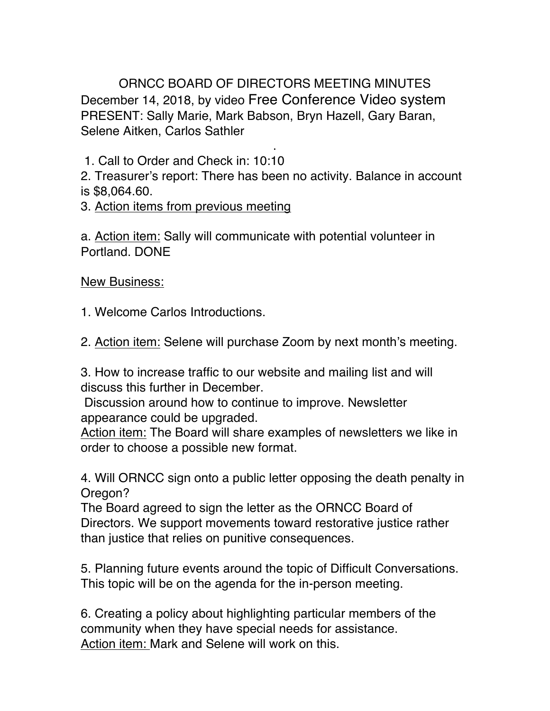ORNCC BOARD OF DIRECTORS MEETING MINUTES December 14, 2018, by video Free Conference Video system PRESENT: Sally Marie, Mark Babson, Bryn Hazell, Gary Baran, Selene Aitken, Carlos Sathler

. 1. Call to Order and Check in: 10:10

2. Treasurer's report: There has been no activity. Balance in account is \$8,064.60.

3. Action items from previous meeting

a. Action item: Sally will communicate with potential volunteer in Portland. DONE

New Business:

1. Welcome Carlos Introductions.

2. Action item: Selene will purchase Zoom by next month's meeting.

3. How to increase traffic to our website and mailing list and will discuss this further in December.

Discussion around how to continue to improve. Newsletter appearance could be upgraded.

Action item: The Board will share examples of newsletters we like in order to choose a possible new format.

4. Will ORNCC sign onto a public letter opposing the death penalty in Oregon?

The Board agreed to sign the letter as the ORNCC Board of Directors. We support movements toward restorative justice rather than justice that relies on punitive consequences.

5. Planning future events around the topic of Difficult Conversations. This topic will be on the agenda for the in-person meeting.

6. Creating a policy about highlighting particular members of the community when they have special needs for assistance. Action item: Mark and Selene will work on this.